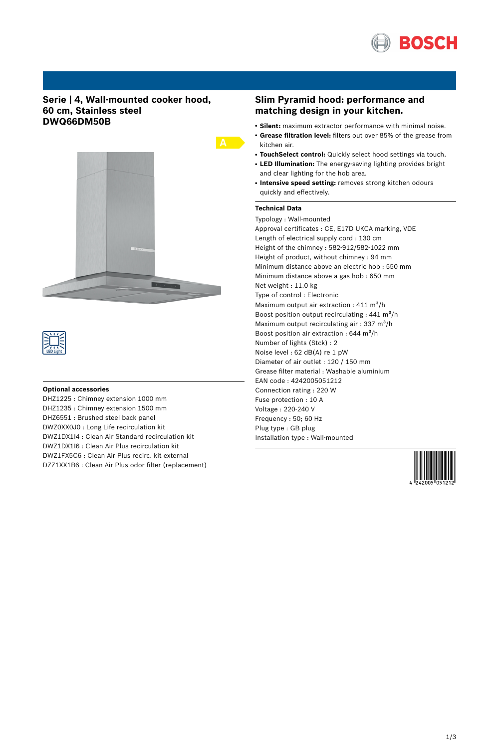

### **Serie | 4, Wall-mounted cooker hood, 60 cm, Stainless steel DWQ66DM50B**





### **Optional accessories**

DHZ1225 : Chimney extension 1000 mm DHZ1235 : Chimney extension 1500 mm DHZ6551 : Brushed steel back panel DWZ0XX0J0 : Long Life recirculation kit DWZ1DX1I4 : Clean Air Standard recirculation kit DWZ1DX1I6 : Clean Air Plus recirculation kit DWZ1FX5C6 : Clean Air Plus recirc. kit external DZZ1XX1B6 : Clean Air Plus odor filter (replacement)

### **Slim Pyramid hood: performance and matching design in your kitchen.**

- **Silent:** maximum extractor performance with minimal noise.
- **Grease filtration level:** filters out over 85% of the grease from kitchen air.
- **TouchSelect control:** Quickly select hood settings via touch.
- **LED Illumination:** The energy-saving lighting provides bright and clear lighting for the hob area.
- **Intensive speed setting:** removes strong kitchen odours quickly and effectively.

### **Technical Data**

Typology : Wall-mounted Approval certificates : CE, E17D UKCA marking, VDE Length of electrical supply cord : 130 cm Height of the chimney : 582-912/582-1022 mm Height of product, without chimney : 94 mm Minimum distance above an electric hob : 550 mm Minimum distance above a gas hob : 650 mm Net weight : 11.0 kg Type of control : Electronic Maximum output air extraction :  $411 \text{ m}^3\text{/h}$ Boost position output recirculating :  $441 \text{ m}^3\text{/h}$ Maximum output recirculating air : 337  $m^3/h$ Boost position air extraction :  $644 \text{ m}^3\text{/h}$ Number of lights (Stck) : 2 Noise level : 62 dB(A) re 1 pW Diameter of air outlet : 120 / 150 mm Grease filter material : Washable aluminium EAN code : 4242005051212 Connection rating : 220 W Fuse protection : 10 A Voltage : 220-240 V Frequency : 50; 60 Hz Plug type : GB plug Installation type : Wall-mounted

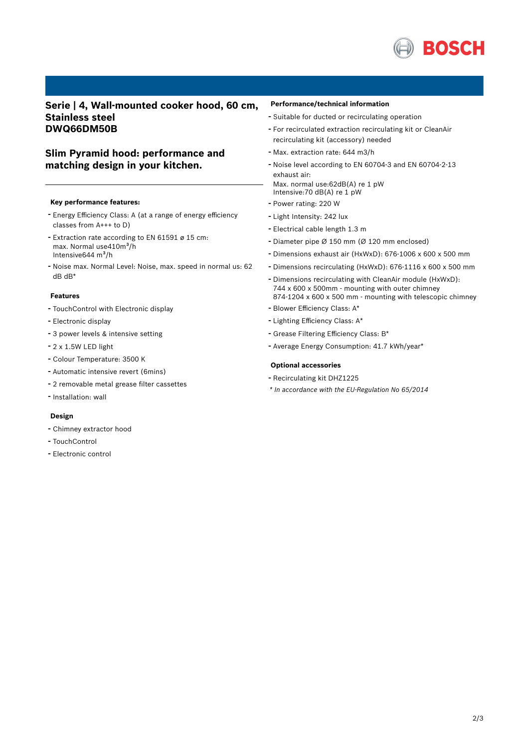

## **Serie | 4, Wall-mounted cooker hood, 60 cm, Stainless steel DWQ66DM50B**

# **Slim Pyramid hood: performance and matching design in your kitchen.**

### **Key performance features:**

- Energy Efficiency Class: <sup>A</sup> (at <sup>a</sup> range of energy efficiency classes from A+++ to D)
- Extraction rate according to EN <sup>61591</sup> <sup>ø</sup> <sup>15</sup> cm: max. Normal use410m<sup>3</sup>/h Intensive $644 \text{ m}^3\text{/h}$
- Noise max. Normal Level: Noise, max. speed in normal us: <sup>62</sup> dB dB\*

### **Features**

- TouchControl with Electronic display
- Electronic display
- <sup>3</sup> power levels & intensive setting
- 2 x 1.5W LED light
- Colour Temperature: <sup>3500</sup> <sup>K</sup>
- Automatic intensive revert (6mins)
- <sup>2</sup> removable metal grease filter cassettes
- Installation: wall

### **Design**

- Chimney extractor hood
- TouchControl
- Electronic control

### **Performance/technical information**

- Suitable for ducted or recirculating operation
- For recirculated extraction recirculating kit or CleanAir recirculating kit (accessory) needed
- Max. extraction rate: <sup>644</sup> m3/h
- Noise level according to EN 60704-3 and EN 60704-2-13 exhaust air: Max. normal use:62dB(A) re 1 pW Intensive: 70 dB(A) re  $1$  pW
- Power rating: <sup>220</sup> <sup>W</sup>
- Light Intensity: <sup>242</sup> lux
- Electrical cable length 1.3 <sup>m</sup>
- Diameter pipe <sup>Ø</sup> <sup>150</sup> mm (Ø <sup>120</sup> mm enclosed)
- Dimensions exhaust air (HxWxD): 676-1006 <sup>x</sup> <sup>600</sup> <sup>x</sup> <sup>500</sup> mm
- Dimensions recirculating (HxWxD): 676-1116 <sup>x</sup> <sup>600</sup> <sup>x</sup> <sup>500</sup> mm
- Dimensions recirculating with CleanAir module (HxWxD): 744 x 600 x 500mm - mounting with outer chimney 874-1204 x 600 x 500 mm - mounting with telescopic chimney
- Blower Efficiency Class: A\*
- Lighting Efficiency Class: A\*
- Grease Filtering Efficiency Class: B\*
- Average Energy Consumption: 41.7 kWh/year\*

#### **Optional accessories**

- Recirculating kit DHZ1225
- *\* In accordance with the EU-Regulation No 65/2014*